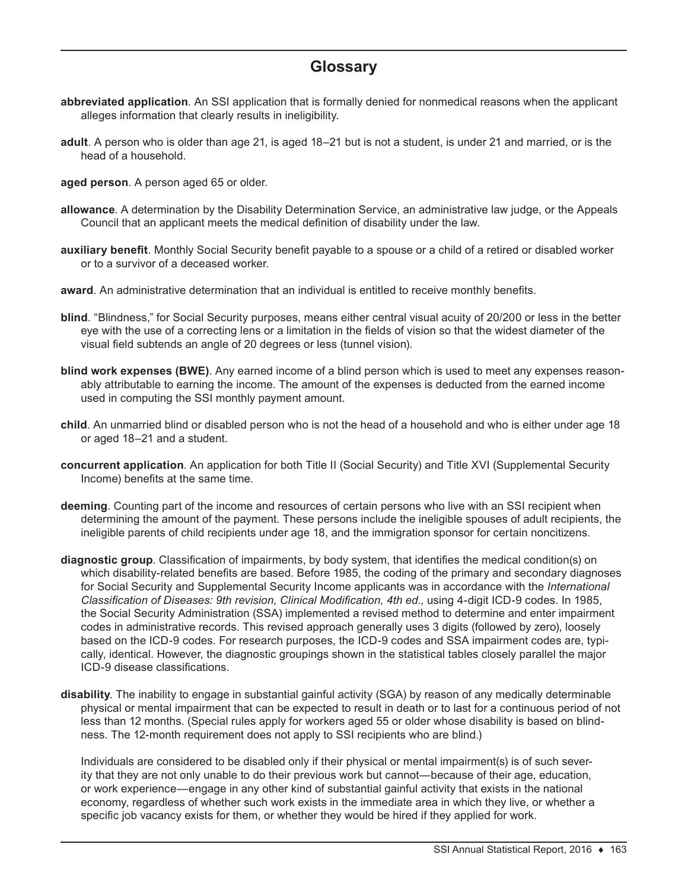## **Glossary**

- **abbreviated application**. An SSI application that is formally denied for nonmedical reasons when the applicant alleges information that clearly results in ineligibility.
- **adult**. A person who is older than age 21, is aged 18–21 but is not a student, is under 21 and married, or is the head of a household.
- **aged person**. A person aged 65 or older.
- **allowance**. A determination by the Disability Determination Service, an administrative law judge, or the Appeals Council that an applicant meets the medical definition of disability under the law.
- **auxiliary benefit**. Monthly Social Security benefit payable to a spouse or a child of a retired or disabled worker or to a survivor of a deceased worker.
- **award**. An administrative determination that an individual is entitled to receive monthly benefits.
- **blind**. "Blindness," for Social Security purposes, means either central visual acuity of 20/200 or less in the better eye with the use of a correcting lens or a limitation in the fields of vision so that the widest diameter of the visual field subtends an angle of 20 degrees or less (tunnel vision).
- **blind work expenses (BWE)**. Any earned income of a blind person which is used to meet any expenses reasonably attributable to earning the income. The amount of the expenses is deducted from the earned income used in computing the SSI monthly payment amount.
- **child**. An unmarried blind or disabled person who is not the head of a household and who is either under age 18 or aged 18–21 and a student.
- **concurrent application**. An application for both Title II (Social Security) and Title XVI (Supplemental Security Income) benefits at the same time.
- **deeming**. Counting part of the income and resources of certain persons who live with an SSI recipient when determining the amount of the payment. These persons include the ineligible spouses of adult recipients, the ineligible parents of child recipients under age 18, and the immigration sponsor for certain noncitizens.
- **diagnostic group**. Classification of impairments, by body system, that identifies the medical condition(s) on which disability-related benefits are based. Before 1985, the coding of the primary and secondary diagnoses for Social Security and Supplemental Security Income applicants was in accordance with the *International Classification of Diseases: 9th revision, Clinical Modification, 4th ed.,* using 4-digit ICD-9 codes. In 1985, the Social Security Administration (SSA) implemented a revised method to determine and enter impairment codes in administrative records. This revised approach generally uses 3 digits (followed by zero), loosely based on the ICD-9 codes. For research purposes, the ICD-9 codes and SSA impairment codes are, typically, identical. However, the diagnostic groupings shown in the statistical tables closely parallel the major ICD-9 disease classifications.
- **disability**. The inability to engage in substantial gainful activity (SGA) by reason of any medically determinable physical or mental impairment that can be expected to result in death or to last for a continuous period of not less than 12 months. (Special rules apply for workers aged 55 or older whose disability is based on blindness. The 12-month requirement does not apply to SSI recipients who are blind.)

Individuals are considered to be disabled only if their physical or mental impairment(s) is of such severity that they are not only unable to do their previous work but cannot—because of their age, education, or work experience—engage in any other kind of substantial gainful activity that exists in the national economy, regardless of whether such work exists in the immediate area in which they live, or whether a specific job vacancy exists for them, or whether they would be hired if they applied for work.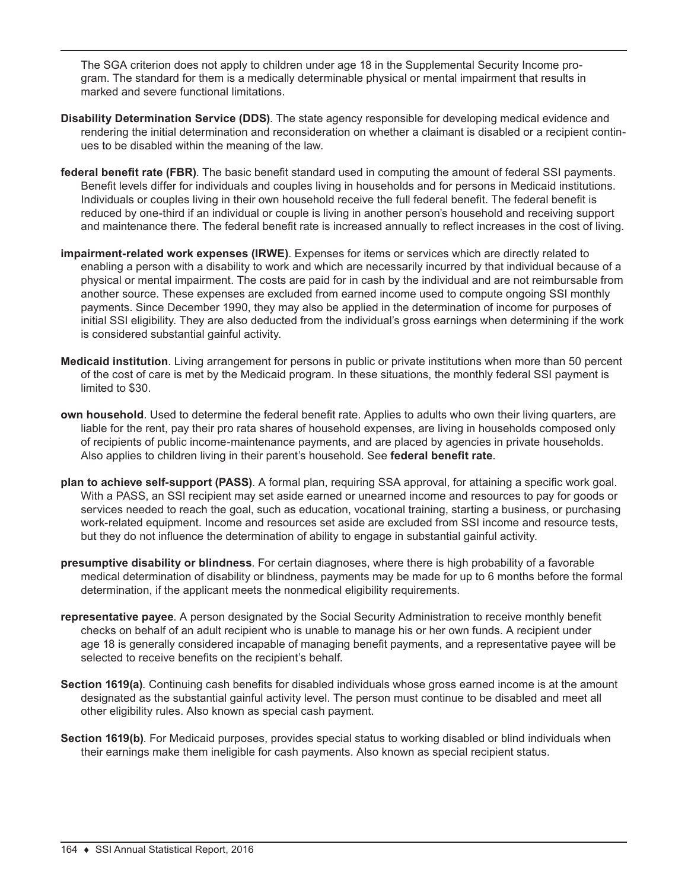The SGA criterion does not apply to children under age 18 in the Supplemental Security Income program. The standard for them is a medically determinable physical or mental impairment that results in marked and severe functional limitations.

- **Disability Determination Service (DDS)**. The state agency responsible for developing medical evidence and rendering the initial determination and reconsideration on whether a claimant is disabled or a recipient continues to be disabled within the meaning of the law.
- **federal benefit rate (FBR)**. The basic benefit standard used in computing the amount of federal SSI payments. Benefit levels differ for individuals and couples living in households and for persons in Medicaid institutions. Individuals or couples living in their own household receive the full federal benefit. The federal benefit is reduced by one-third if an individual or couple is living in another person's household and receiving support and maintenance there. The federal benefit rate is increased annually to reflect increases in the cost of living.
- **impairment-related work expenses (IRWE)**. Expenses for items or services which are directly related to enabling a person with a disability to work and which are necessarily incurred by that individual because of a physical or mental impairment. The costs are paid for in cash by the individual and are not reimbursable from another source. These expenses are excluded from earned income used to compute ongoing SSI monthly payments. Since December 1990, they may also be applied in the determination of income for purposes of initial SSI eligibility. They are also deducted from the individual's gross earnings when determining if the work is considered substantial gainful activity.
- **Medicaid institution**. Living arrangement for persons in public or private institutions when more than 50 percent of the cost of care is met by the Medicaid program. In these situations, the monthly federal SSI payment is limited to \$30.
- **own household**. Used to determine the federal benefit rate. Applies to adults who own their living quarters, are liable for the rent, pay their pro rata shares of household expenses, are living in households composed only of recipients of public income-maintenance payments, and are placed by agencies in private households. Also applies to children living in their parent's household. See **federal benefit rate**.
- **plan to achieve self-support (PASS)**. A formal plan, requiring SSA approval, for attaining a specific work goal. With a PASS, an SSI recipient may set aside earned or unearned income and resources to pay for goods or services needed to reach the goal, such as education, vocational training, starting a business, or purchasing work-related equipment. Income and resources set aside are excluded from SSI income and resource tests, but they do not influence the determination of ability to engage in substantial gainful activity.
- **presumptive disability or blindness**. For certain diagnoses, where there is high probability of a favorable medical determination of disability or blindness, payments may be made for up to 6 months before the formal determination, if the applicant meets the nonmedical eligibility requirements.
- **representative payee**. A person designated by the Social Security Administration to receive monthly benefit checks on behalf of an adult recipient who is unable to manage his or her own funds. A recipient under age 18 is generally considered incapable of managing benefit payments, and a representative payee will be selected to receive benefits on the recipient's behalf.
- **Section 1619(a)**. Continuing cash benefits for disabled individuals whose gross earned income is at the amount designated as the substantial gainful activity level. The person must continue to be disabled and meet all other eligibility rules. Also known as special cash payment.
- **Section 1619(b)**. For Medicaid purposes, provides special status to working disabled or blind individuals when their earnings make them ineligible for cash payments. Also known as special recipient status.